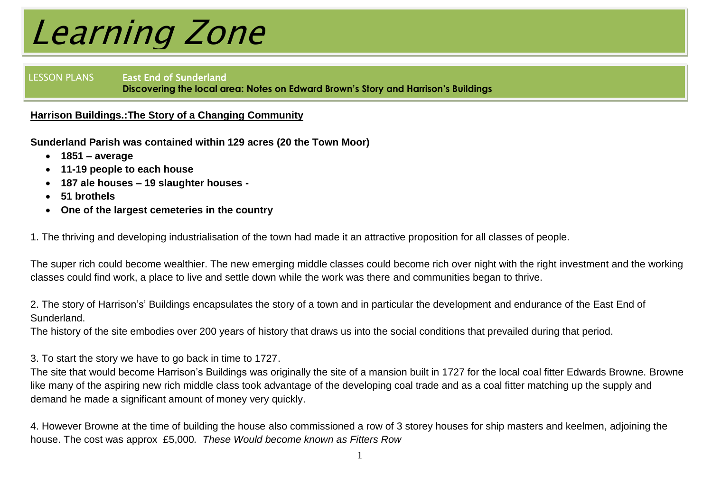LESSON PLANS East End of Sunderland **Discovering the local area: Notes on Edward Brown's Story and Harrison's Buildings**

#### **Harrison Buildings.:The Story of a Changing Community**

**Sunderland Parish was contained within 129 acres (20 the Town Moor)**

- **1851 – average**
- **11-19 people to each house**
- **187 ale houses – 19 slaughter houses**
- **51 brothels**
- **One of the largest cemeteries in the country**

1. The thriving and developing industrialisation of the town had made it an attractive proposition for all classes of people.

The super rich could become wealthier. The new emerging middle classes could become rich over night with the right investment and the working classes could find work, a place to live and settle down while the work was there and communities began to thrive.

2. The story of Harrison's' Buildings encapsulates the story of a town and in particular the development and endurance of the East End of Sunderland.

The history of the site embodies over 200 years of history that draws us into the social conditions that prevailed during that period.

3. To start the story we have to go back in time to 1727.

The site that would become Harrison's Buildings was originally the site of a mansion built in 1727 for the local coal fitter Edwards Browne. Browne like many of the aspiring new rich middle class took advantage of the developing coal trade and as a coal fitter matching up the supply and demand he made a significant amount of money very quickly.

4. However Browne at the time of building the house also commissioned a row of 3 storey houses for ship masters and keelmen, adjoining the house. The cost was approx £5,000*. These Would become known as Fitters Row*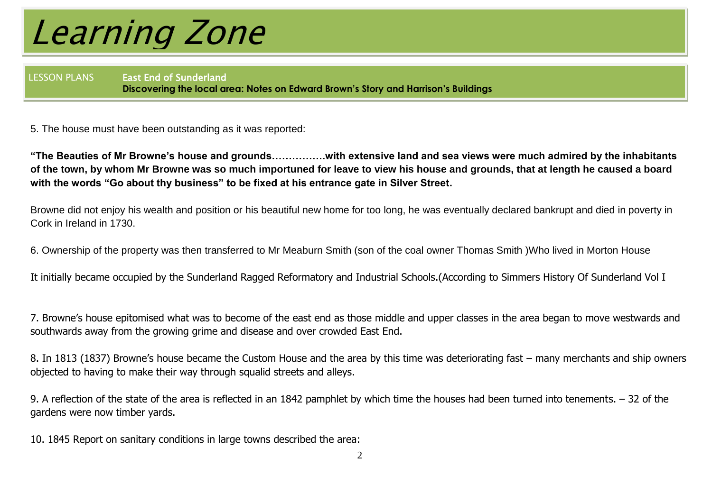LESSON PLANS East End of Sunderland **Discovering the local area: Notes on Edward Brown's Story and Harrison's Buildings**

5. The house must have been outstanding as it was reported:

**"The Beauties of Mr Browne's house and grounds…………….with extensive land and sea views were much admired by the inhabitants of the town, by whom Mr Browne was so much importuned for leave to view his house and grounds, that at length he caused a board with the words "Go about thy business" to be fixed at his entrance gate in Silver Street.**

Browne did not enjoy his wealth and position or his beautiful new home for too long, he was eventually declared bankrupt and died in poverty in Cork in Ireland in 1730.

6. Ownership of the property was then transferred to Mr Meaburn Smith (son of the coal owner Thomas Smith )Who lived in Morton House

It initially became occupied by the Sunderland Ragged Reformatory and Industrial Schools.(According to Simmers History Of Sunderland Vol I

7. Browne's house epitomised what was to become of the east end as those middle and upper classes in the area began to move westwards and southwards away from the growing grime and disease and over crowded East End.

8. In 1813 (1837) Browne's house became the Custom House and the area by this time was deteriorating fast – many merchants and ship owners objected to having to make their way through squalid streets and alleys.

9. A reflection of the state of the area is reflected in an 1842 pamphlet by which time the houses had been turned into tenements. – 32 of the gardens were now timber yards.

10. 1845 Report on sanitary conditions in large towns described the area: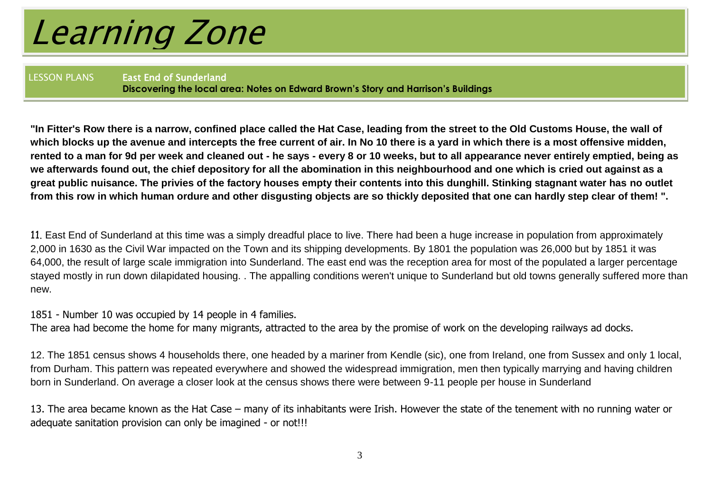LESSON PLANS East End of Sunderland **Discovering the local area: Notes on Edward Brown's Story and Harrison's Buildings**

**"In Fitter's Row there is a narrow, confined place called the Hat Case, leading from the street to the Old Customs House, the wall of which blocks up the avenue and intercepts the free current of air. In No 10 there is a yard in which there is a most offensive midden, rented to a man for 9d per week and cleaned out - he says - every 8 or 10 weeks, but to all appearance never entirely emptied, being as we afterwards found out, the chief depository for all the abomination in this neighbourhood and one which is cried out against as a great public nuisance. The privies of the factory houses empty their contents into this dunghill. Stinking stagnant water has no outlet from this row in which human ordure and other disgusting objects are so thickly deposited that one can hardly step clear of them! ".**

11. East End of Sunderland at this time was a simply dreadful place to live. There had been a huge increase in population from approximately 2,000 in 1630 as the Civil War impacted on the Town and its shipping developments. By 1801 the population was 26,000 but by 1851 it was 64,000, the result of large scale immigration into Sunderland. The east end was the reception area for most of the populated a larger percentage stayed mostly in run down dilapidated housing. . The appalling conditions weren't unique to Sunderland but old towns generally suffered more than new.

1851 - Number 10 was occupied by 14 people in 4 families.

The area had become the home for many migrants, attracted to the area by the promise of work on the developing railways ad docks.

12. The 1851 census shows 4 households there, one headed by a mariner from Kendle (sic), one from Ireland, one from Sussex and only 1 local, from Durham. This pattern was repeated everywhere and showed the widespread immigration, men then typically marrying and having children born in Sunderland. On average a closer look at the census shows there were between 9-11 people per house in Sunderland

13. The area became known as the Hat Case – many of its inhabitants were Irish. However the state of the tenement with no running water or adequate sanitation provision can only be imagined - or not!!!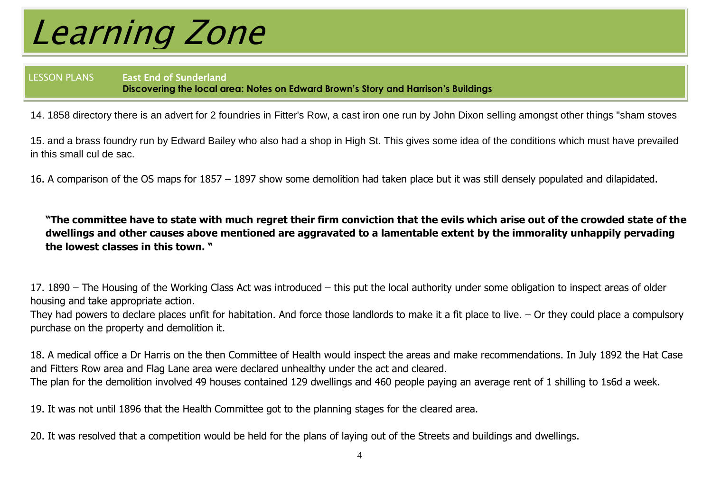LESSON PLANS East End of Sunderland **Discovering the local area: Notes on Edward Brown's Story and Harrison's Buildings**

14. 1858 directory there is an advert for 2 foundries in Fitter's Row, a cast iron one run by John Dixon selling amongst other things "sham stoves

15. and a brass foundry run by Edward Bailey who also had a shop in High St. This gives some idea of the conditions which must have prevailed in this small cul de sac.

16. A comparison of the OS maps for 1857 – 1897 show some demolition had taken place but it was still densely populated and dilapidated.

**"The committee have to state with much regret their firm conviction that the evils which arise out of the crowded state of the dwellings and other causes above mentioned are aggravated to a lamentable extent by the immorality unhappily pervading the lowest classes in this town. "**

17. 1890 – The Housing of the Working Class Act was introduced – this put the local authority under some obligation to inspect areas of older housing and take appropriate action.

They had powers to declare places unfit for habitation. And force those landlords to make it a fit place to live. – Or they could place a compulsory purchase on the property and demolition it.

18. A medical office a Dr Harris on the then Committee of Health would inspect the areas and make recommendations. In July 1892 the Hat Case and Fitters Row area and Flag Lane area were declared unhealthy under the act and cleared. The plan for the demolition involved 49 houses contained 129 dwellings and 460 people paying an average rent of 1 shilling to 1s6d a week.

19. It was not until 1896 that the Health Committee got to the planning stages for the cleared area.

20. It was resolved that a competition would be held for the plans of laying out of the Streets and buildings and dwellings.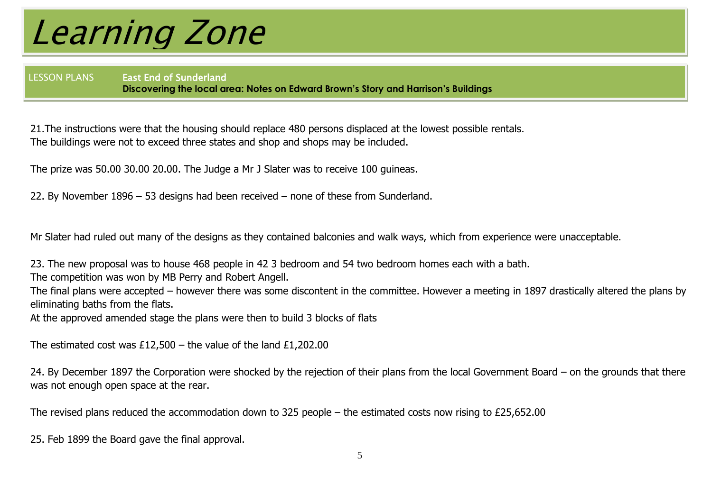LESSON PLANS East End of Sunderland **Discovering the local area: Notes on Edward Brown's Story and Harrison's Buildings**

21.The instructions were that the housing should replace 480 persons displaced at the lowest possible rentals. The buildings were not to exceed three states and shop and shops may be included.

The prize was 50.00 30.00 20.00. The Judge a Mr J Slater was to receive 100 guineas.

22. By November 1896 – 53 designs had been received – none of these from Sunderland.

Mr Slater had ruled out many of the designs as they contained balconies and walk ways, which from experience were unacceptable.

23. The new proposal was to house 468 people in 42 3 bedroom and 54 two bedroom homes each with a bath.

The competition was won by MB Perry and Robert Angell.

The final plans were accepted – however there was some discontent in the committee. However a meeting in 1897 drastically altered the plans by eliminating baths from the flats.

At the approved amended stage the plans were then to build 3 blocks of flats

The estimated cost was £12,500 – the value of the land £1,202,00

24. By December 1897 the Corporation were shocked by the rejection of their plans from the local Government Board – on the grounds that there was not enough open space at the rear.

The revised plans reduced the accommodation down to 325 people – the estimated costs now rising to £25,652.00

25. Feb 1899 the Board gave the final approval.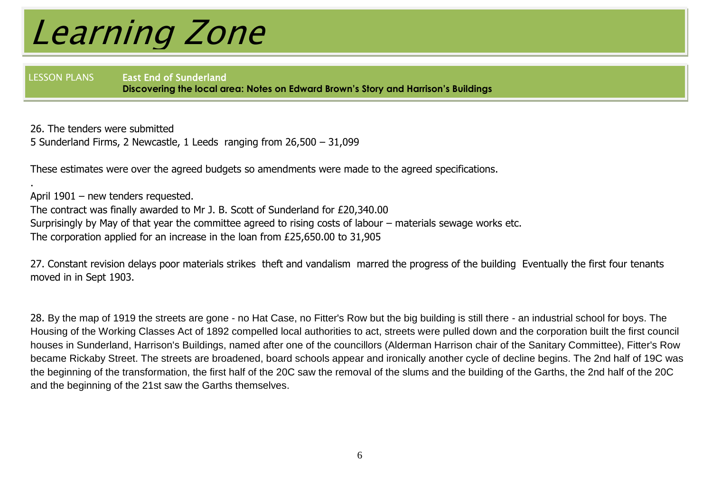.

LESSON PLANS East End of Sunderland **Discovering the local area: Notes on Edward Brown's Story and Harrison's Buildings**

26. The tenders were submitted 5 Sunderland Firms, 2 Newcastle, 1 Leeds ranging from 26,500 – 31,099

These estimates were over the agreed budgets so amendments were made to the agreed specifications.

April 1901 – new tenders requested. The contract was finally awarded to Mr J. B. Scott of Sunderland for £20,340.00 Surprisingly by May of that year the committee agreed to rising costs of labour – materials sewage works etc. The corporation applied for an increase in the loan from £25,650.00 to 31,905

27. Constant revision delays poor materials strikes theft and vandalism marred the progress of the building Eventually the first four tenants moved in in Sept 1903.

28. By the map of 1919 the streets are gone - no Hat Case, no Fitter's Row but the big building is still there - an industrial school for boys. The Housing of the Working Classes Act of 1892 compelled local authorities to act, streets were pulled down and the corporation built the first council houses in Sunderland, Harrison's Buildings, named after one of the councillors (Alderman Harrison chair of the Sanitary Committee), Fitter's Row became Rickaby Street. The streets are broadened, board schools appear and ironically another cycle of decline begins. The 2nd half of 19C was the beginning of the transformation, the first half of the 20C saw the removal of the slums and the building of the Garths, the 2nd half of the 20C and the beginning of the 21st saw the Garths themselves.